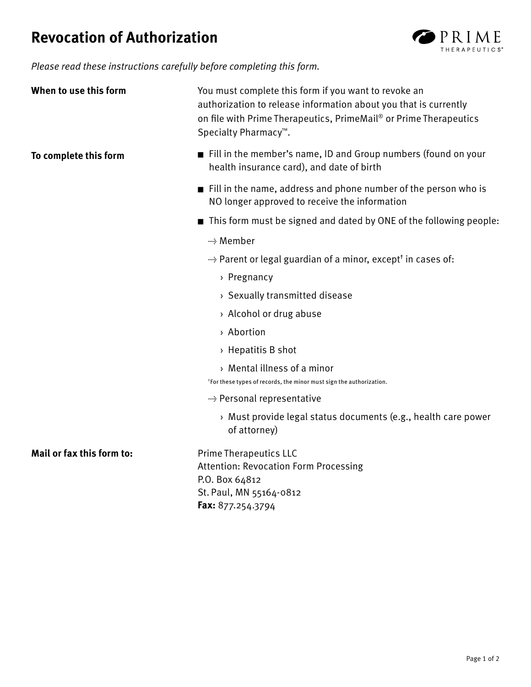## **Revocation of Authorization**



Please read these instructions carefully before completing this form.

| When to use this form     | You must complete this form if you want to revoke an<br>authorization to release information about you that is currently<br>on file with Prime Therapeutics, PrimeMail® or Prime Therapeutics<br>Specialty Pharmacy <sup>™</sup> . |
|---------------------------|------------------------------------------------------------------------------------------------------------------------------------------------------------------------------------------------------------------------------------|
| To complete this form     | $\blacksquare$ Fill in the member's name, ID and Group numbers (found on your<br>health insurance card), and date of birth                                                                                                         |
|                           | $\blacksquare$ Fill in the name, address and phone number of the person who is<br>NO longer approved to receive the information                                                                                                    |
|                           | ■ This form must be signed and dated by ONE of the following people:                                                                                                                                                               |
|                           | ---> Member                                                                                                                                                                                                                        |
|                           | "> Parent or legal guardian of a minor, except <sup>†</sup> in cases of:                                                                                                                                                           |
|                           | > Pregnancy                                                                                                                                                                                                                        |
|                           | > Sexually transmitted disease                                                                                                                                                                                                     |
|                           | > Alcohol or drug abuse                                                                                                                                                                                                            |
|                           | > Abortion                                                                                                                                                                                                                         |
|                           | $\rightarrow$ Hepatitis B shot                                                                                                                                                                                                     |
|                           | > Mental illness of a minor<br>*For these types of records, the minor must sign the authorization.                                                                                                                                 |
|                           | → Personal representative                                                                                                                                                                                                          |
|                           | > Must provide legal status documents (e.g., health care power<br>of attorney)                                                                                                                                                     |
| Mail or fax this form to: | <b>Prime Therapeutics LLC</b><br><b>Attention: Revocation Form Processing</b><br>P.O. Box 64812<br>St. Paul, MN 55164-0812<br>Fax: 877.254.3794                                                                                    |